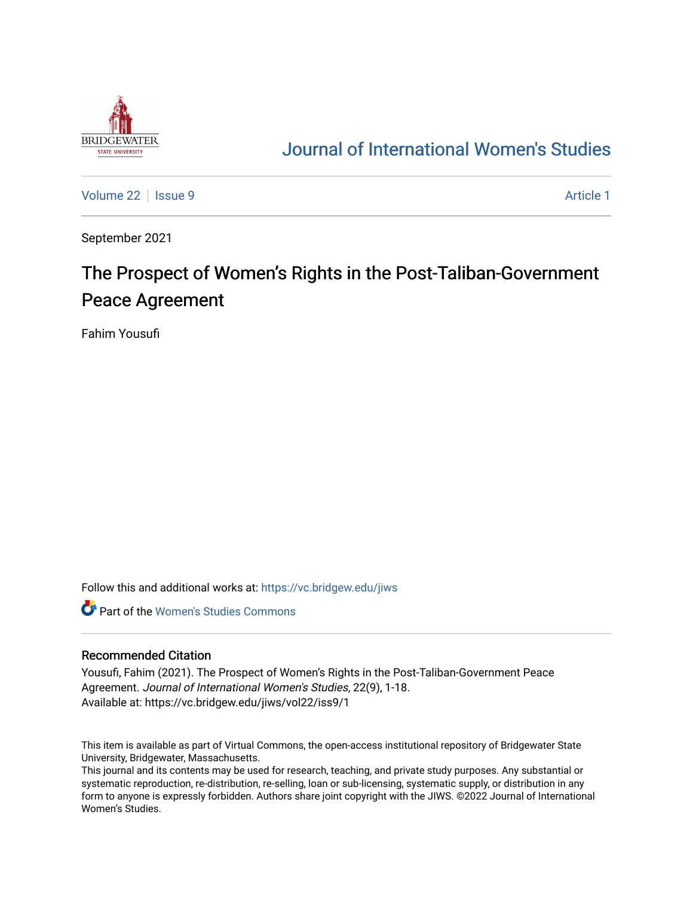

## [Journal of International Women's Studies](https://vc.bridgew.edu/jiws)

[Volume 22](https://vc.bridgew.edu/jiws/vol22) | [Issue 9](https://vc.bridgew.edu/jiws/vol22/iss9) Article 1

September 2021

# The Prospect of Women's Rights in the Post-Taliban-Government Peace Agreement

Fahim Yousufi

Follow this and additional works at: [https://vc.bridgew.edu/jiws](https://vc.bridgew.edu/jiws?utm_source=vc.bridgew.edu%2Fjiws%2Fvol22%2Fiss9%2F1&utm_medium=PDF&utm_campaign=PDFCoverPages)

**C** Part of the Women's Studies Commons

#### Recommended Citation

Yousufi, Fahim (2021). The Prospect of Women's Rights in the Post-Taliban-Government Peace Agreement. Journal of International Women's Studies, 22(9), 1-18. Available at: https://vc.bridgew.edu/jiws/vol22/iss9/1

This item is available as part of Virtual Commons, the open-access institutional repository of Bridgewater State University, Bridgewater, Massachusetts.

This journal and its contents may be used for research, teaching, and private study purposes. Any substantial or systematic reproduction, re-distribution, re-selling, loan or sub-licensing, systematic supply, or distribution in any form to anyone is expressly forbidden. Authors share joint copyright with the JIWS. ©2022 Journal of International Women's Studies.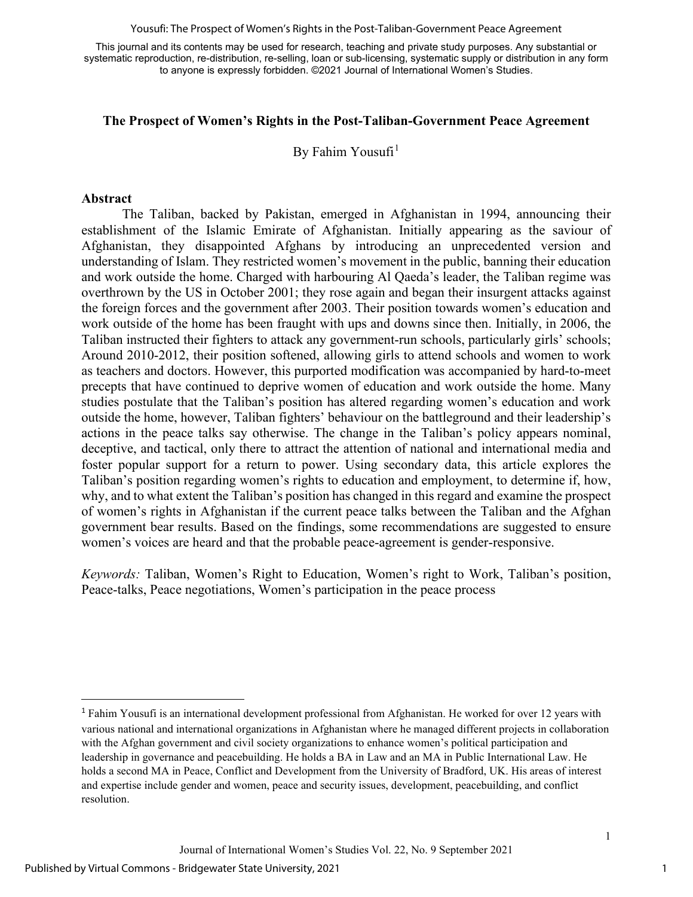Yousufi: The Prospect of Women's Rights in the Post-Taliban-Government Peace Agreement

This journal and its contents may be used for research, teaching and private study purposes. Any substantial or systematic reproduction, re-distribution, re-selling, loan or sub-licensing, systematic supply or distribution in any form to anyone is expressly forbidden. ©2021 Journal of International Women's Studies.

#### **The Prospect of Women's Rights in the Post-Taliban-Government Peace Agreement**

By Fahim Yousufi<sup>[1](#page-1-0)</sup>

#### **Abstract**

The Taliban, backed by Pakistan, emerged in Afghanistan in 1994, announcing their establishment of the Islamic Emirate of Afghanistan. Initially appearing as the saviour of Afghanistan, they disappointed Afghans by introducing an unprecedented version and understanding of Islam. They restricted women's movement in the public, banning their education and work outside the home. Charged with harbouring Al Qaeda's leader, the Taliban regime was overthrown by the US in October 2001; they rose again and began their insurgent attacks against the foreign forces and the government after 2003. Their position towards women's education and work outside of the home has been fraught with ups and downs since then. Initially, in 2006, the Taliban instructed their fighters to attack any government-run schools, particularly girls' schools; Around 2010-2012, their position softened, allowing girls to attend schools and women to work as teachers and doctors. However, this purported modification was accompanied by hard-to-meet precepts that have continued to deprive women of education and work outside the home. Many studies postulate that the Taliban's position has altered regarding women's education and work outside the home, however, Taliban fighters' behaviour on the battleground and their leadership's actions in the peace talks say otherwise. The change in the Taliban's policy appears nominal, deceptive, and tactical, only there to attract the attention of national and international media and foster popular support for a return to power. Using secondary data, this article explores the Taliban's position regarding women's rights to education and employment, to determine if, how, why, and to what extent the Taliban's position has changed in this regard and examine the prospect of women's rights in Afghanistan if the current peace talks between the Taliban and the Afghan government bear results. Based on the findings, some recommendations are suggested to ensure women's voices are heard and that the probable peace-agreement is gender-responsive.

*Keywords:* Taliban, Women's Right to Education, Women's right to Work, Taliban's position, Peace-talks, Peace negotiations, Women's participation in the peace process

<span id="page-1-0"></span><sup>&</sup>lt;sup>1</sup> Fahim Yousufi is an international development professional from Afghanistan. He worked for over 12 years with various national and international organizations in Afghanistan where he managed different projects in collaboration with the Afghan government and civil society organizations to enhance women's political participation and leadership in governance and peacebuilding. He holds a BA in Law and an MA in Public International Law. He holds a second MA in Peace, Conflict and Development from the University of Bradford, UK. His areas of interest and expertise include gender and women, peace and security issues, development, peacebuilding, and conflict resolution.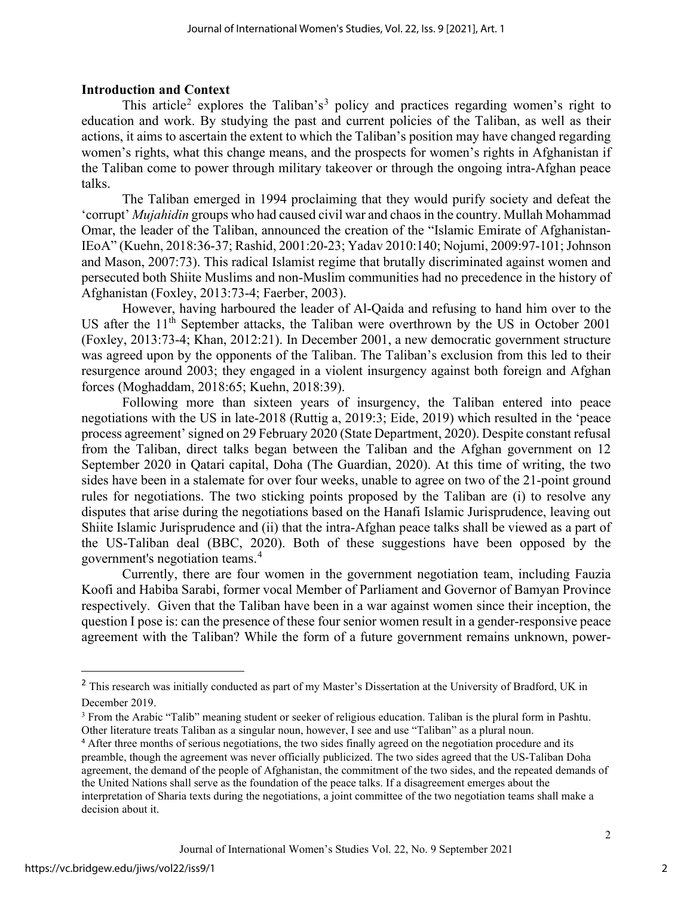## **Introduction and Context**

This article<sup>[2](#page-2-0)</sup> explores the Taliban's<sup>[3](#page-2-1)</sup> policy and practices regarding women's right to education and work. By studying the past and current policies of the Taliban, as well as their actions, it aims to ascertain the extent to which the Taliban's position may have changed regarding women's rights, what this change means, and the prospects for women's rights in Afghanistan if the Taliban come to power through military takeover or through the ongoing intra-Afghan peace talks.

The Taliban emerged in 1994 proclaiming that they would purify society and defeat the 'corrupt' *Mujahidin* groups who had caused civil war and chaos in the country. Mullah Mohammad Omar, the leader of the Taliban, announced the creation of the "Islamic Emirate of Afghanistan-IEoA" (Kuehn, 2018:36-37; Rashid, 2001:20-23; Yadav 2010:140; Nojumi, 2009:97-101; Johnson and Mason, 2007:73). This radical Islamist regime that brutally discriminated against women and persecuted both Shiite Muslims and non-Muslim communities had no precedence in the history of Afghanistan (Foxley, 2013:73-4; Faerber, 2003).

However, having harboured the leader of Al-Qaida and refusing to hand him over to the US after the  $11<sup>th</sup>$  September attacks, the Taliban were overthrown by the US in October 2001 (Foxley, 2013:73-4; Khan, 2012:21). In December 2001, a new democratic government structure was agreed upon by the opponents of the Taliban. The Taliban's exclusion from this led to their resurgence around 2003; they engaged in a violent insurgency against both foreign and Afghan forces (Moghaddam, 2018:65; Kuehn, 2018:39).

Following more than sixteen years of insurgency, the Taliban entered into peace negotiations with the US in late-2018 (Ruttig a, 2019:3; [Eide,](about:blank) 2019) which resulted in the 'peace process agreement' signed on 29 February 2020 (State Department, 2020). Despite constant refusal from the Taliban, direct talks began between the Taliban and the Afghan government on 12 September 2020 in Qatari capital, Doha (The Guardian, 2020). At this time of writing, the two sides have been in a stalemate for over four weeks, unable to agree on two of the 21-point ground rules for negotiations. The two sticking points proposed by the Taliban are (i) to resolve any disputes that arise during the negotiations based on the Hanafi Islamic Jurisprudence, leaving out Shiite Islamic Jurisprudence and (ii) that the intra-Afghan peace talks shall be viewed as a part of the US-Taliban deal (BBC, 2020). Both of these suggestions have been opposed by the government's negotiation teams.[4](#page-2-2)

Currently, there are four women in the government negotiation team, including Fauzia Koofi and Habiba Sarabi, former vocal Member of Parliament and Governor of Bamyan Province respectively. Given that the Taliban have been in a war against women since their inception, the question I pose is: can the presence of these four senior women result in a gender-responsive peace agreement with the Taliban? While the form of a future government remains unknown, power-

<span id="page-2-0"></span><sup>&</sup>lt;sup>2</sup> This research was initially conducted as part of my Master's Dissertation at the University of Bradford, UK in December 2019.

<span id="page-2-1"></span><sup>&</sup>lt;sup>3</sup> From the Arabic "Talib" meaning student or seeker of religious education. Taliban is the plural form in Pashtu. Other literature treats Taliban as a singular noun, however, I see and use "Taliban" as a plural noun.

<span id="page-2-2"></span><sup>&</sup>lt;sup>4</sup> After three months of serious negotiations, the two sides finally agreed on the negotiation procedure and its preamble, though the agreement was never officially publicized. The two sides agreed that the US-Taliban Doha agreement, the demand of the people of Afghanistan, the commitment of the two sides, and the repeated demands of the United Nations shall serve as the foundation of the peace talks. If a disagreement emerges about the interpretation of Sharia texts during the negotiations, a joint committee of the two negotiation teams shall make a decision about it.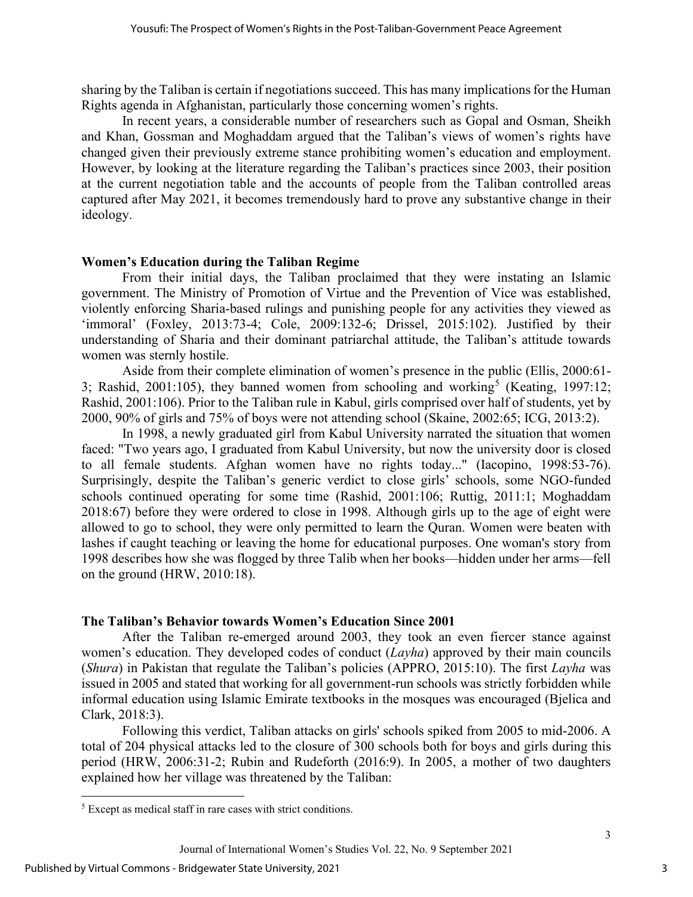sharing by the Taliban is certain if negotiations succeed. This has many implications for the Human Rights agenda in Afghanistan, particularly those concerning women's rights.

In recent years, a considerable number of researchers such as Gopal and Osman, Sheikh and Khan, Gossman and Moghaddam argued that the Taliban's views of women's rights have changed given their previously extreme stance prohibiting women's education and employment. However, by looking at the literature regarding the Taliban's practices since 2003, their position at the current negotiation table and the accounts of people from the Taliban controlled areas captured after May 2021, it becomes tremendously hard to prove any substantive change in their ideology.

## **Women's Education during the Taliban Regime**

From their initial days, the Taliban proclaimed that they were instating an Islamic government. The Ministry of Promotion of Virtue and the Prevention of Vice was established, violently enforcing Sharia-based rulings and punishing people for any activities they viewed as 'immoral' (Foxley, 2013:73-4; Cole, 2009:132-6; Drissel, 2015:102). Justified by their understanding of Sharia and their dominant patriarchal attitude, the Taliban's attitude towards women was sternly hostile.

Aside from their complete elimination of women's presence in the public (Ellis, 2000:61- 3; Rashid, 2001:10[5](#page-3-0)), they banned women from schooling and working<sup>5</sup> (Keating, 1997:12; Rashid, 2001:106). Prior to the Taliban rule in Kabul, girls comprised over half of students, yet by 2000, 90% of girls and 75% of boys were not attending school (Skaine, 2002:65; ICG, 2013:2).

In 1998, a newly graduated girl from Kabul University narrated the situation that women faced: "Two years ago, I graduated from Kabul University, but now the university door is closed to all female students. Afghan women have no rights today..." (Iacopino, 1998:53-76). Surprisingly, despite the Taliban's generic verdict to close girls' schools, some NGO-funded schools continued operating for some time (Rashid, 2001:106; Ruttig, 2011:1; Moghaddam 2018:67) before they were ordered to close in 1998. Although girls up to the age of eight were allowed to go to school, they were only permitted to learn the Quran. Women were beaten with lashes if caught teaching or leaving the home for educational purposes. One woman's story from 1998 describes how she was flogged by three Talib when her books—hidden under her arms—fell on the ground (HRW, 2010:18).

## **The Taliban's Behavior towards Women's Education Since 2001**

After the Taliban re-emerged around 2003, they took an even fiercer stance against women's education. They developed codes of conduct (*Layha*) approved by their main councils (*Shura*) in Pakistan that regulate the Taliban's policies (APPRO, 2015:10). The first *Layha* was issued in 2005 and stated that working for all government-run schools was strictly forbidden while informal education using Islamic Emirate textbooks in the mosques was encouraged (Bjelica and Clark, 2018:3).

Following this verdict, Taliban attacks on girls' schools spiked from 2005 to mid-2006. A total of 204 physical attacks led to the closure of 300 schools both for boys and girls during this period (HRW, 2006:31-2; Rubin and Rudeforth (2016:9). In 2005, a mother of two daughters explained how her village was threatened by the Taliban:

<span id="page-3-0"></span><sup>5</sup> Except as medical staff in rare cases with strict conditions.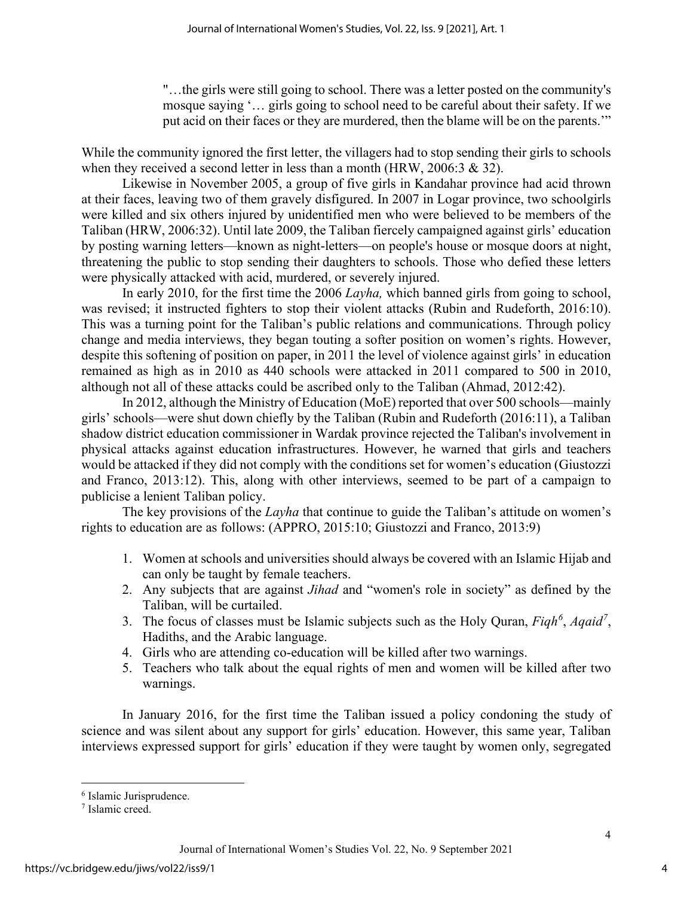"…the girls were still going to school. There was a letter posted on the community's mosque saying '… girls going to school need to be careful about their safety. If we put acid on their faces or they are murdered, then the blame will be on the parents.'"

While the community ignored the first letter, the villagers had to stop sending their girls to schools when they received a second letter in less than a month (HRW, 2006:3 & 32).

Likewise in November 2005, a group of five girls in Kandahar province had acid thrown at their faces, leaving two of them gravely disfigured. In 2007 in Logar province, two schoolgirls were killed and six others injured by unidentified men who were believed to be members of the Taliban (HRW, 2006:32). Until late 2009, the Taliban fiercely campaigned against girls' education by posting warning letters—known as night-letters—on people's house or mosque doors at night, threatening the public to stop sending their daughters to schools. Those who defied these letters were physically attacked with acid, murdered, or severely injured.

In early 2010, for the first time the 2006 *Layha,* which banned girls from going to school, was revised; it instructed fighters to stop their violent attacks (Rubin and Rudeforth, 2016:10). This was a turning point for the Taliban's public relations and communications. Through policy change and media interviews, they began touting a softer position on women's rights. However, despite this softening of position on paper, in 2011 the level of violence against girls' in education remained as high as in 2010 as 440 schools were attacked in 2011 compared to 500 in 2010, although not all of these attacks could be ascribed only to the Taliban (Ahmad, 2012:42).

In 2012, although the Ministry of Education (MoE) reported that over 500 schools—mainly girls' schools—were shut down chiefly by the Taliban (Rubin and Rudeforth (2016:11), a Taliban shadow district education commissioner in Wardak province rejected the Taliban's involvement in physical attacks against education infrastructures. However, he warned that girls and teachers would be attacked if they did not comply with the conditions set for women's education (Giustozzi and Franco, 2013:12). This, along with other interviews, seemed to be part of a campaign to publicise a lenient Taliban policy.

The key provisions of the *Layha* that continue to guide the Taliban's attitude on women's rights to education are as follows: (APPRO, 2015:10; Giustozzi and Franco, 2013:9)

- 1. Women at schools and universities should always be covered with an Islamic Hijab and can only be taught by female teachers.
- 2. Any subjects that are against *Jihad* and "women's role in society" as defined by the Taliban, will be curtailed.
- 3. The focus of classes must be Islamic subjects such as the Holy Quran, *Fiqh[6](#page-4-0)* , *Aqaid[7](#page-4-1)* , Hadiths, and the Arabic language.
- 4. Girls who are attending co-education will be killed after two warnings.
- 5. Teachers who talk about the equal rights of men and women will be killed after two warnings.

In January 2016, for the first time the Taliban issued a policy condoning the study of science and was silent about any support for girls' education. However, this same year, Taliban interviews expressed support for girls' education if they were taught by women only, segregated

<span id="page-4-0"></span><sup>6</sup> Islamic Jurisprudence.

<span id="page-4-1"></span><sup>7</sup> Islamic creed.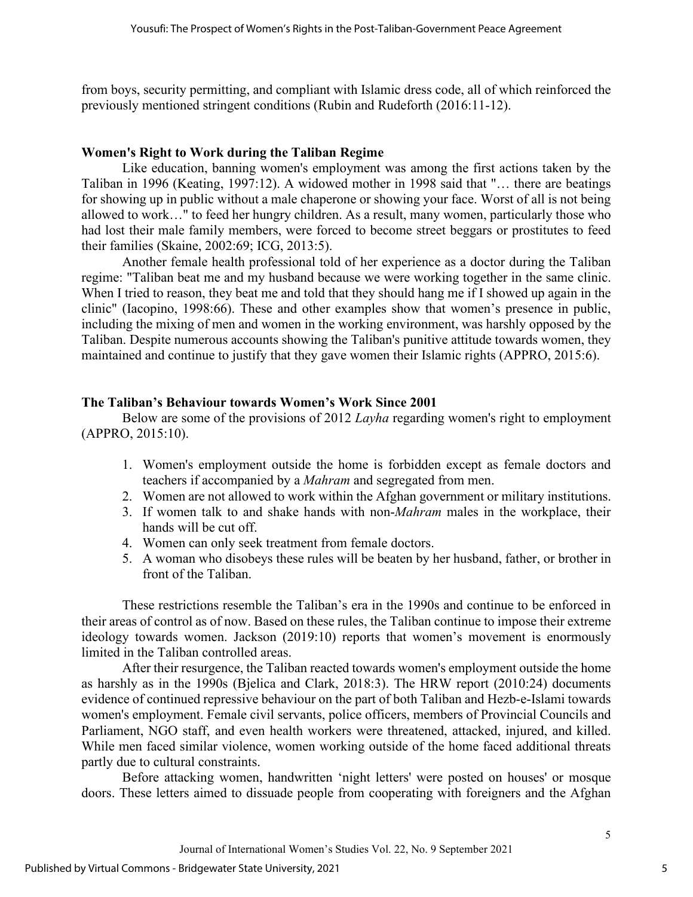from boys, security permitting, and compliant with Islamic dress code, all of which reinforced the previously mentioned stringent conditions (Rubin and Rudeforth (2016:11-12).

#### **Women's Right to Work during the Taliban Regime**

Like education, banning women's employment was among the first actions taken by the Taliban in 1996 (Keating, 1997:12). A widowed mother in 1998 said that "… there are beatings for showing up in public without a male chaperone or showing your face. Worst of all is not being allowed to work…" to feed her hungry children. As a result, many women, particularly those who had lost their male family members, were forced to become street beggars or prostitutes to feed their families (Skaine, 2002:69; ICG, 2013:5).

Another female health professional told of her experience as a doctor during the Taliban regime: "Taliban beat me and my husband because we were working together in the same clinic. When I tried to reason, they beat me and told that they should hang me if I showed up again in the clinic" (Iacopino, 1998:66). These and other examples show that women's presence in public, including the mixing of men and women in the working environment, was harshly opposed by the Taliban. Despite numerous accounts showing the Taliban's punitive attitude towards women, they maintained and continue to justify that they gave women their Islamic rights (APPRO, 2015:6).

## **The Taliban's Behaviour towards Women's Work Since 2001**

Below are some of the provisions of 2012 *Layha* regarding women's right to employment (APPRO, 2015:10).

- 1. Women's employment outside the home is forbidden except as female doctors and teachers if accompanied by a *Mahram* and segregated from men.
- 2. Women are not allowed to work within the Afghan government or military institutions.
- 3. If women talk to and shake hands with non-*Mahram* males in the workplace, their hands will be cut off.
- 4. Women can only seek treatment from female doctors.
- 5. A woman who disobeys these rules will be beaten by her husband, father, or brother in front of the Taliban.

These restrictions resemble the Taliban's era in the 1990s and continue to be enforced in their areas of control as of now. Based on these rules, the Taliban continue to impose their extreme ideology towards women. Jackson (2019:10) reports that women's movement is enormously limited in the Taliban controlled areas.

After their resurgence, the Taliban reacted towards women's employment outside the home as harshly as in the 1990s (Bjelica and Clark, 2018:3). The HRW report (2010:24) documents evidence of continued repressive behaviour on the part of both Taliban and Hezb-e-Islami towards women's employment. Female civil servants, police officers, members of Provincial Councils and Parliament, NGO staff, and even health workers were threatened, attacked, injured, and killed. While men faced similar violence, women working outside of the home faced additional threats partly due to cultural constraints.

Before attacking women, handwritten 'night letters' were posted on houses' or mosque doors. These letters aimed to dissuade people from cooperating with foreigners and the Afghan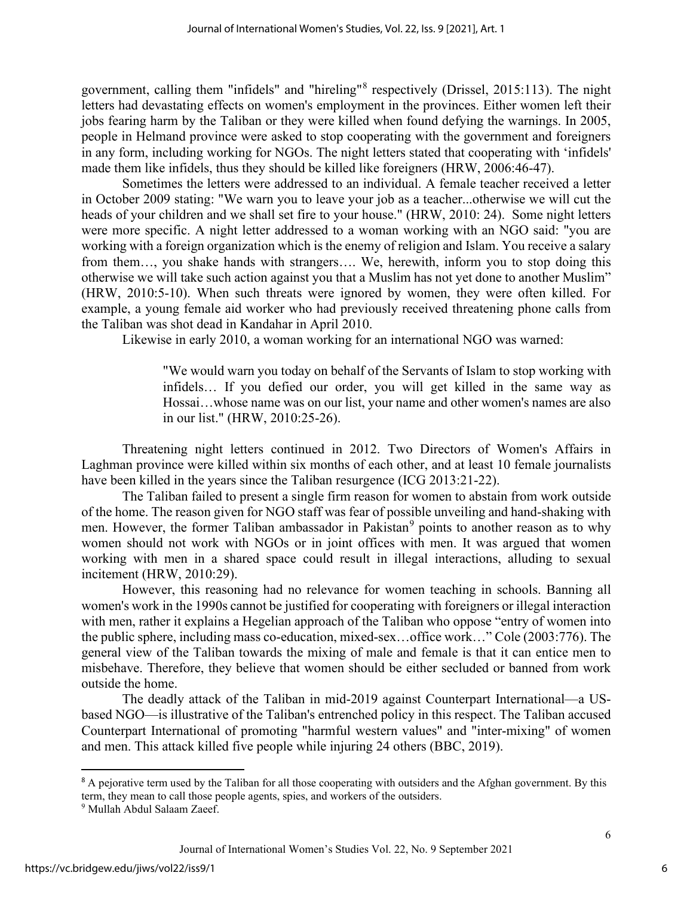government, calling them "infidels" and "hireling"[8](#page-6-0) respectively (Drissel, 2015:113). The night letters had devastating effects on women's employment in the provinces. Either women left their jobs fearing harm by the Taliban or they were killed when found defying the warnings. In 2005, people in Helmand province were asked to stop cooperating with the government and foreigners in any form, including working for NGOs. The night letters stated that cooperating with 'infidels' made them like infidels, thus they should be killed like foreigners (HRW, 2006:46-47).

Sometimes the letters were addressed to an individual. A female teacher received a letter in October 2009 stating: "We warn you to leave your job as a teacher...otherwise we will cut the heads of your children and we shall set fire to your house." (HRW, 2010: 24). Some night letters were more specific. A night letter addressed to a woman working with an NGO said: "you are working with a foreign organization which is the enemy of religion and Islam. You receive a salary from them…, you shake hands with strangers…. We, herewith, inform you to stop doing this otherwise we will take such action against you that a Muslim has not yet done to another Muslim" (HRW, 2010:5-10). When such threats were ignored by women, they were often killed. For example, a young female aid worker who had previously received threatening phone calls from the Taliban was shot dead in Kandahar in April 2010.

Likewise in early 2010, a woman working for an international NGO was warned:

"We would warn you today on behalf of the Servants of Islam to stop working with infidels… If you defied our order, you will get killed in the same way as Hossai…whose name was on our list, your name and other women's names are also in our list." (HRW, 2010:25-26).

Threatening night letters continued in 2012. Two Directors of Women's Affairs in Laghman province were killed within six months of each other, and at least 10 female journalists have been killed in the years since the Taliban resurgence (ICG 2013:21-22).

The Taliban failed to present a single firm reason for women to abstain from work outside of the home. The reason given for NGO staff was fear of possible unveiling and hand-shaking with men. However, the former Taliban ambassador in Pakistan<sup>[9](#page-6-1)</sup> points to another reason as to why women should not work with NGOs or in joint offices with men. It was argued that women working with men in a shared space could result in illegal interactions, alluding to sexual incitement (HRW, 2010:29).

However, this reasoning had no relevance for women teaching in schools. Banning all women's work in the 1990s cannot be justified for cooperating with foreigners or illegal interaction with men, rather it explains a Hegelian approach of the Taliban who oppose "entry of women into the public sphere, including mass co-education, mixed-sex…office work…" Cole (2003:776). The general view of the Taliban towards the mixing of male and female is that it can entice men to misbehave. Therefore, they believe that women should be either secluded or banned from work outside the home.

The deadly attack of the Taliban in mid-2019 against Counterpart International—a USbased NGO—is illustrative of the Taliban's entrenched policy in this respect. The Taliban accused Counterpart International of promoting "harmful western values" and "inter-mixing" of women and men. This attack killed five people while injuring 24 others (BBC, 2019).

<span id="page-6-0"></span><sup>&</sup>lt;sup>8</sup> A pejorative term used by the Taliban for all those cooperating with outsiders and the Afghan government. By this term, they mean to call those people agents, spies, and workers of the outsiders.

<span id="page-6-1"></span><sup>9</sup> Mullah Abdul Salaam Zaeef.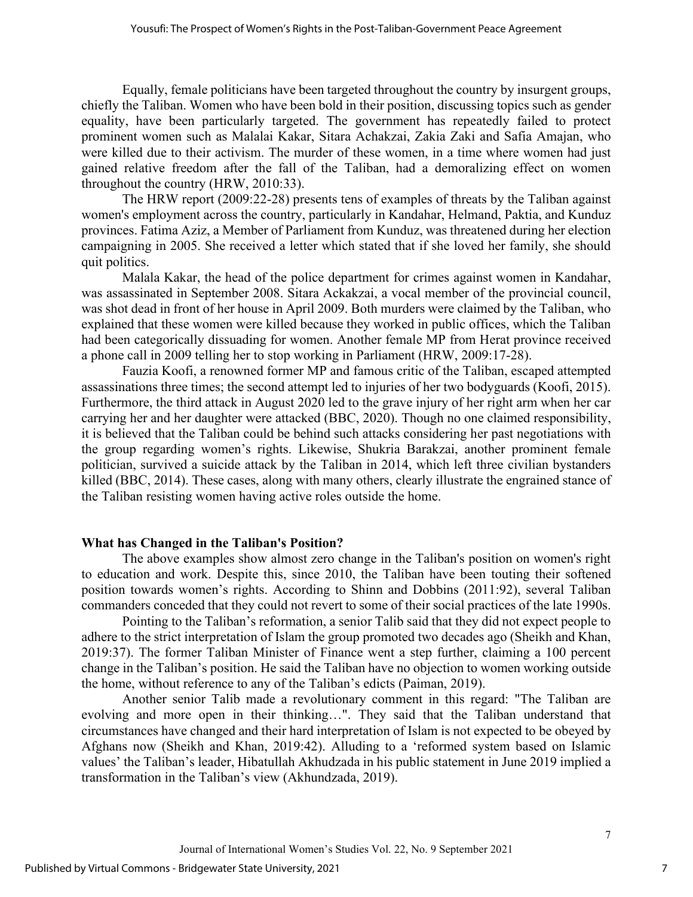Equally, female politicians have been targeted throughout the country by insurgent groups, chiefly the Taliban. Women who have been bold in their position, discussing topics such as gender equality, have been particularly targeted. The government has repeatedly failed to protect prominent women such as Malalai Kakar, Sitara Achakzai, Zakia Zaki and Safia Amajan, who were killed due to their activism. The murder of these women, in a time where women had just gained relative freedom after the fall of the Taliban, had a demoralizing effect on women throughout the country (HRW, 2010:33).

The HRW report (2009:22-28) presents tens of examples of threats by the Taliban against women's employment across the country, particularly in Kandahar, Helmand, Paktia, and Kunduz provinces. Fatima Aziz, a Member of Parliament from Kunduz, was threatened during her election campaigning in 2005. She received a letter which stated that if she loved her family, she should quit politics.

Malala Kakar, the head of the police department for crimes against women in Kandahar, was assassinated in September 2008. Sitara Ackakzai, a vocal member of the provincial council, was shot dead in front of her house in April 2009. Both murders were claimed by the Taliban, who explained that these women were killed because they worked in public offices, which the Taliban had been categorically dissuading for women. Another female MP from Herat province received a phone call in 2009 telling her to stop working in Parliament (HRW, 2009:17-28).

Fauzia Koofi, a renowned former MP and famous critic of the Taliban, escaped attempted assassinations three times; the second attempt led to injuries of her two bodyguards (Koofi, 2015). Furthermore, the third attack in August 2020 led to the grave injury of her right arm when her car carrying her and her daughter were attacked (BBC, 2020). Though no one claimed responsibility, it is believed that the Taliban could be behind such attacks considering her past negotiations with the group regarding women's rights. Likewise, Shukria Barakzai, another prominent female politician, survived a suicide attack by the Taliban in 2014, which left three civilian bystanders killed (BBC, 2014). These cases, along with many others, clearly illustrate the engrained stance of the Taliban resisting women having active roles outside the home.

#### **What has Changed in the Taliban's Position?**

The above examples show almost zero change in the Taliban's position on women's right to education and work. Despite this, since 2010, the Taliban have been touting their softened position towards women's rights. According to Shinn and Dobbins (2011:92), several Taliban commanders conceded that they could not revert to some of their social practices of the late 1990s.

Pointing to the Taliban's reformation, a senior Talib said that they did not expect people to adhere to the strict interpretation of Islam the group promoted two decades ago (Sheikh and Khan, 2019:37). The former Taliban Minister of Finance went a step further, claiming a 100 percent change in the Taliban's position. He said the Taliban have no objection to women working outside the home, without reference to any of the Taliban's edicts (Paiman, 2019).

Another senior Talib made a revolutionary comment in this regard: "The Taliban are evolving and more open in their thinking…". They said that the Taliban understand that circumstances have changed and their hard interpretation of Islam is not expected to be obeyed by Afghans now (Sheikh and Khan, 2019:42). Alluding to a 'reformed system based on Islamic values' the Taliban's leader, Hibatullah Akhudzada in his public statement in June 2019 implied a transformation in the Taliban's view (Akhundzada, 2019).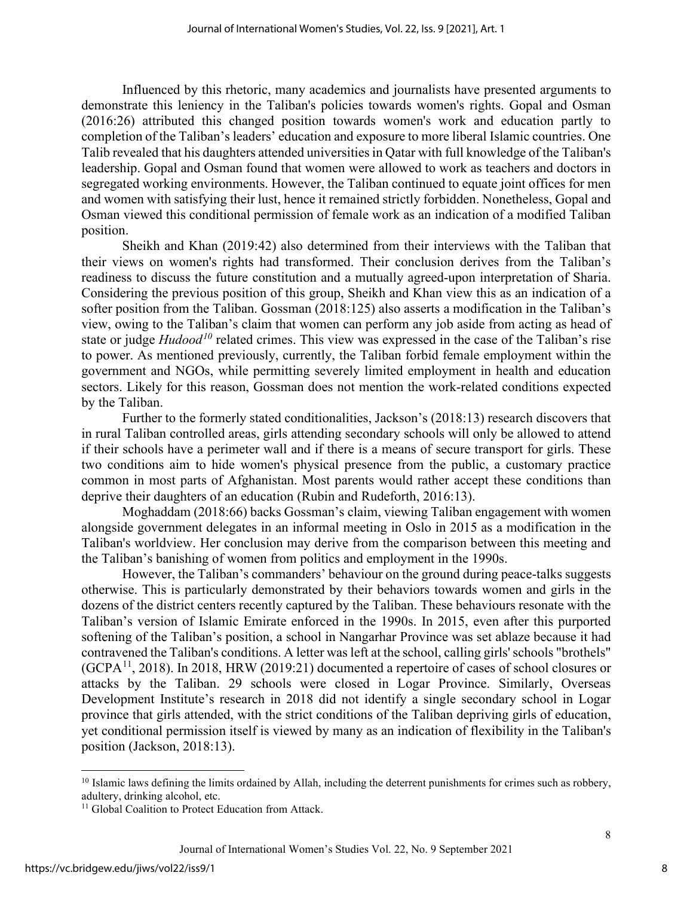Influenced by this rhetoric, many academics and journalists have presented arguments to demonstrate this leniency in the Taliban's policies towards women's rights. Gopal and Osman (2016:26) attributed this changed position towards women's work and education partly to completion of the Taliban's leaders' education and exposure to more liberal Islamic countries. One Talib revealed that his daughters attended universities in Qatar with full knowledge of the Taliban's leadership. Gopal and Osman found that women were allowed to work as teachers and doctors in segregated working environments. However, the Taliban continued to equate joint offices for men and women with satisfying their lust, hence it remained strictly forbidden. Nonetheless, Gopal and Osman viewed this conditional permission of female work as an indication of a modified Taliban position.

Sheikh and Khan (2019:42) also determined from their interviews with the Taliban that their views on women's rights had transformed. Their conclusion derives from the Taliban's readiness to discuss the future constitution and a mutually agreed-upon interpretation of Sharia. Considering the previous position of this group, Sheikh and Khan view this as an indication of a softer position from the Taliban. Gossman (2018:125) also asserts a modification in the Taliban's view, owing to the Taliban's claim that women can perform any job aside from acting as head of state or judge *Hudood[10](#page-8-0)* related crimes. This view was expressed in the case of the Taliban's rise to power. As mentioned previously, currently, the Taliban forbid female employment within the government and NGOs, while permitting severely limited employment in health and education sectors. Likely for this reason, Gossman does not mention the work-related conditions expected by the Taliban.

Further to the formerly stated conditionalities, Jackson's (2018:13) research discovers that in rural Taliban controlled areas, girls attending secondary schools will only be allowed to attend if their schools have a perimeter wall and if there is a means of secure transport for girls. These two conditions aim to hide women's physical presence from the public, a customary practice common in most parts of Afghanistan. Most parents would rather accept these conditions than deprive their daughters of an education (Rubin and Rudeforth, 2016:13).

Moghaddam (2018:66) backs Gossman's claim, viewing Taliban engagement with women alongside government delegates in an informal meeting in Oslo in 2015 as a modification in the Taliban's worldview. Her conclusion may derive from the comparison between this meeting and the Taliban's banishing of women from politics and employment in the 1990s.

However, the Taliban's commanders' behaviour on the ground during peace-talks suggests otherwise. This is particularly demonstrated by their behaviors towards women and girls in the dozens of the district centers recently captured by the Taliban. These behaviours resonate with the Taliban's version of Islamic Emirate enforced in the 1990s. In 2015, even after this purported softening of the Taliban's position, a school in Nangarhar Province was set ablaze because it had contravened the Taliban's conditions. A letter was left at the school, calling girls' schools "brothels"  $(GCPA<sup>11</sup>, 2018)$ . In 2018, HRW (2019:21) documented a repertoire of cases of school closures or attacks by the Taliban. 29 schools were closed in Logar Province. Similarly, Overseas Development Institute's research in 2018 did not identify a single secondary school in Logar province that girls attended, with the strict conditions of the Taliban depriving girls of education, yet conditional permission itself is viewed by many as an indication of flexibility in the Taliban's position (Jackson, 2018:13).

<span id="page-8-0"></span> $10$  Islamic laws defining the limits ordained by Allah, including the deterrent punishments for crimes such as robbery, adultery, drinking alcohol, etc.

<span id="page-8-1"></span><sup>&</sup>lt;sup>11</sup> Global Coalition to Protect Education from Attack.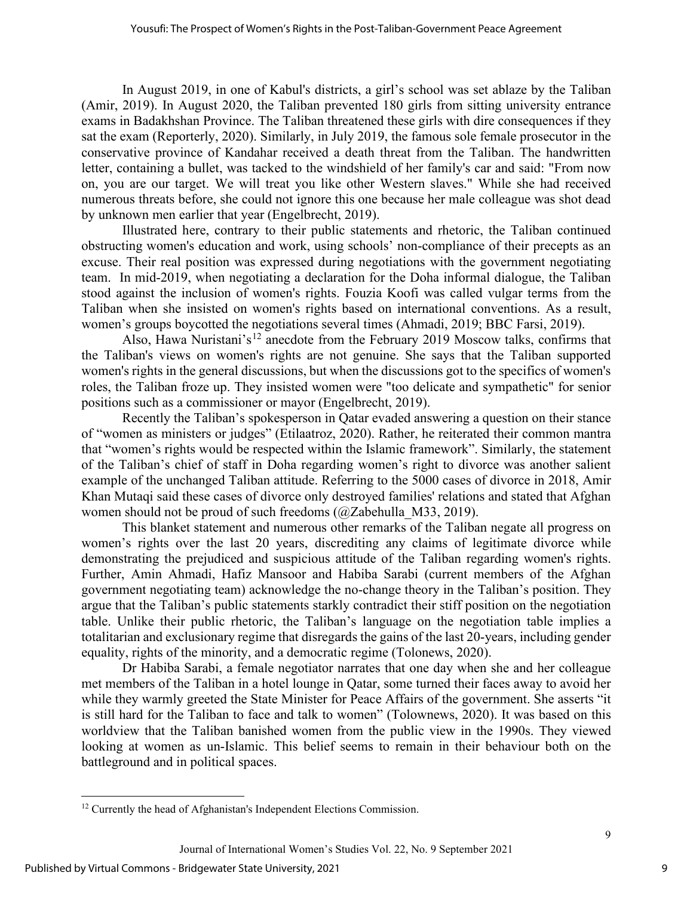In August 2019, in one of Kabul's districts, a girl's school was set ablaze by the Taliban (Amir, 2019). In August 2020, the Taliban prevented 180 girls from sitting university entrance exams in Badakhshan Province. The Taliban threatened these girls with dire consequences if they sat the exam (Reporterly, 2020). Similarly, in July 2019, the famous sole female prosecutor in the conservative province of Kandahar received a death threat from the Taliban. The handwritten letter, containing a bullet, was tacked to the windshield of her family's car and said: "From now on, you are our target. We will treat you like other Western slaves." While she had received numerous threats before, she could not ignore this one because her male colleague was shot dead by unknown men earlier that year (Engelbrecht, 2019).

Illustrated here, contrary to their public statements and rhetoric, the Taliban continued obstructing women's education and work, using schools' non-compliance of their precepts as an excuse. Their real position was expressed during negotiations with the government negotiating team. In mid-2019, when negotiating a declaration for the Doha informal dialogue, the Taliban stood against the inclusion of women's rights. Fouzia Koofi was called vulgar terms from the Taliban when she insisted on women's rights based on international conventions. As a result, women's groups boycotted the negotiations several times (Ahmadi, 2019; BBC Farsi, 2019).

Also, Hawa Nuristani's<sup>[12](#page-9-0)</sup> anecdote from the February 2019 Moscow talks, confirms that the Taliban's views on women's rights are not genuine. She says that the Taliban supported women's rights in the general discussions, but when the discussions got to the specifics of women's roles, the Taliban froze up. They insisted women were "too delicate and sympathetic" for senior positions such as a commissioner or mayor (Engelbrecht, 2019).

Recently the Taliban's spokesperson in Qatar evaded answering a question on their stance of "women as ministers or judges" (Etilaatroz, 2020). Rather, he reiterated their common mantra that "women's rights would be respected within the Islamic framework". Similarly, the statement of the Taliban's chief of staff in Doha regarding women's right to divorce was another salient example of the unchanged Taliban attitude. Referring to the 5000 cases of divorce in 2018, Amir Khan Mutaqi said these cases of divorce only destroyed families' relations and stated that Afghan women should not be proud of such freedoms (@Zabehulla\_M33, 2019).

This blanket statement and numerous other remarks of the Taliban negate all progress on women's rights over the last 20 years, discrediting any claims of legitimate divorce while demonstrating the prejudiced and suspicious attitude of the Taliban regarding women's rights. Further, Amin Ahmadi, Hafiz Mansoor and Habiba Sarabi (current members of the Afghan government negotiating team) acknowledge the no-change theory in the Taliban's position. They argue that the Taliban's public statements starkly contradict their stiff position on the negotiation table. Unlike their public rhetoric, the Taliban's language on the negotiation table implies a totalitarian and exclusionary regime that disregards the gains of the last 20-years, including gender equality, rights of the minority, and a democratic regime (Tolonews, 2020).

Dr Habiba Sarabi, a female negotiator narrates that one day when she and her colleague met members of the Taliban in a hotel lounge in Qatar, some turned their faces away to avoid her while they warmly greeted the State Minister for Peace Affairs of the government. She asserts "it is still hard for the Taliban to face and talk to women" (Tolownews, 2020). It was based on this worldview that the Taliban banished women from the public view in the 1990s. They viewed looking at women as un-Islamic. This belief seems to remain in their behaviour both on the battleground and in political spaces.

<span id="page-9-0"></span><sup>&</sup>lt;sup>12</sup> Currently the head of Afghanistan's Independent Elections Commission.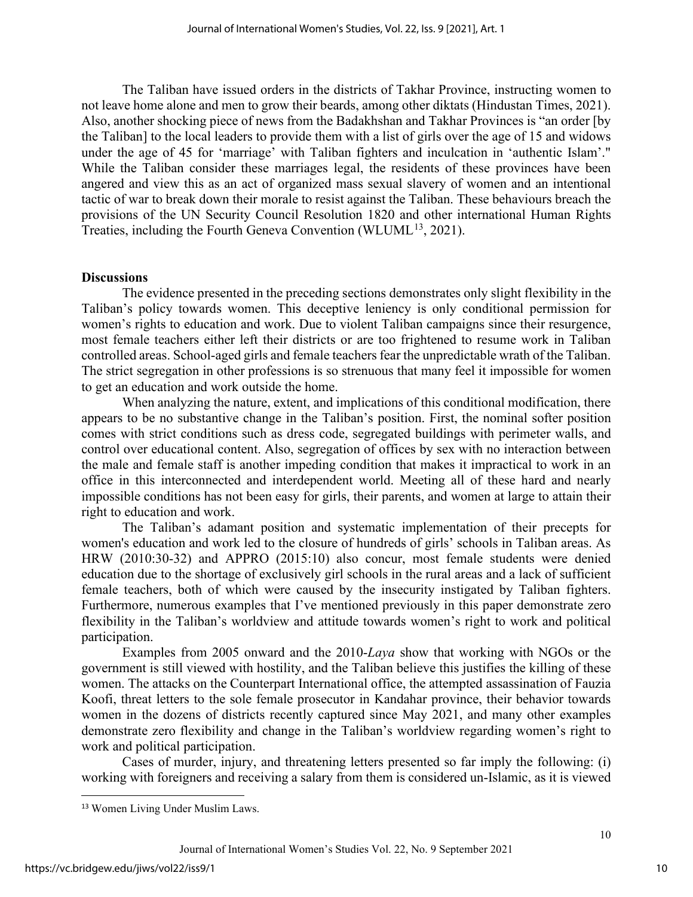The Taliban have issued orders in the districts of Takhar Province, instructing women to not leave home alone and men to grow their beards, among other diktats (Hindustan Times, 2021). Also, another shocking piece of news from the Badakhshan and Takhar Provinces is "an order [by the Taliban] to the local leaders to provide them with a list of girls over the age of 15 and widows under the age of 45 for 'marriage' with Taliban fighters and inculcation in 'authentic Islam'." While the Taliban consider these marriages legal, the residents of these provinces have been angered and view this as an act of organized mass sexual slavery of women and an intentional tactic of war to break down their morale to resist against the Taliban. These behaviours breach the provisions of the UN Security Council Resolution 1820 and other international Human Rights Treaties, including the Fourth Geneva Convention (WLUML<sup>[13](#page-10-0)</sup>, 2021).

#### **Discussions**

The evidence presented in the preceding sections demonstrates only slight flexibility in the Taliban's policy towards women. This deceptive leniency is only conditional permission for women's rights to education and work. Due to violent Taliban campaigns since their resurgence, most female teachers either left their districts or are too frightened to resume work in Taliban controlled areas. School-aged girls and female teachers fear the unpredictable wrath of the Taliban. The strict segregation in other professions is so strenuous that many feel it impossible for women to get an education and work outside the home.

When analyzing the nature, extent, and implications of this conditional modification, there appears to be no substantive change in the Taliban's position. First, the nominal softer position comes with strict conditions such as dress code, segregated buildings with perimeter walls, and control over educational content. Also, segregation of offices by sex with no interaction between the male and female staff is another impeding condition that makes it impractical to work in an office in this interconnected and interdependent world. Meeting all of these hard and nearly impossible conditions has not been easy for girls, their parents, and women at large to attain their right to education and work.

The Taliban's adamant position and systematic implementation of their precepts for women's education and work led to the closure of hundreds of girls' schools in Taliban areas. As HRW (2010:30-32) and APPRO (2015:10) also concur, most female students were denied education due to the shortage of exclusively girl schools in the rural areas and a lack of sufficient female teachers, both of which were caused by the insecurity instigated by Taliban fighters. Furthermore, numerous examples that I've mentioned previously in this paper demonstrate zero flexibility in the Taliban's worldview and attitude towards women's right to work and political participation.

Examples from 2005 onward and the 2010-*Laya* show that working with NGOs or the government is still viewed with hostility, and the Taliban believe this justifies the killing of these women. The attacks on the Counterpart International office, the attempted assassination of Fauzia Koofi, threat letters to the sole female prosecutor in Kandahar province, their behavior towards women in the dozens of districts recently captured since May 2021, and many other examples demonstrate zero flexibility and change in the Taliban's worldview regarding women's right to work and political participation.

Cases of murder, injury, and threatening letters presented so far imply the following: (i) working with foreigners and receiving a salary from them is considered un-Islamic, as it is viewed

<span id="page-10-0"></span><sup>13</sup> Women Living Under Muslim Laws.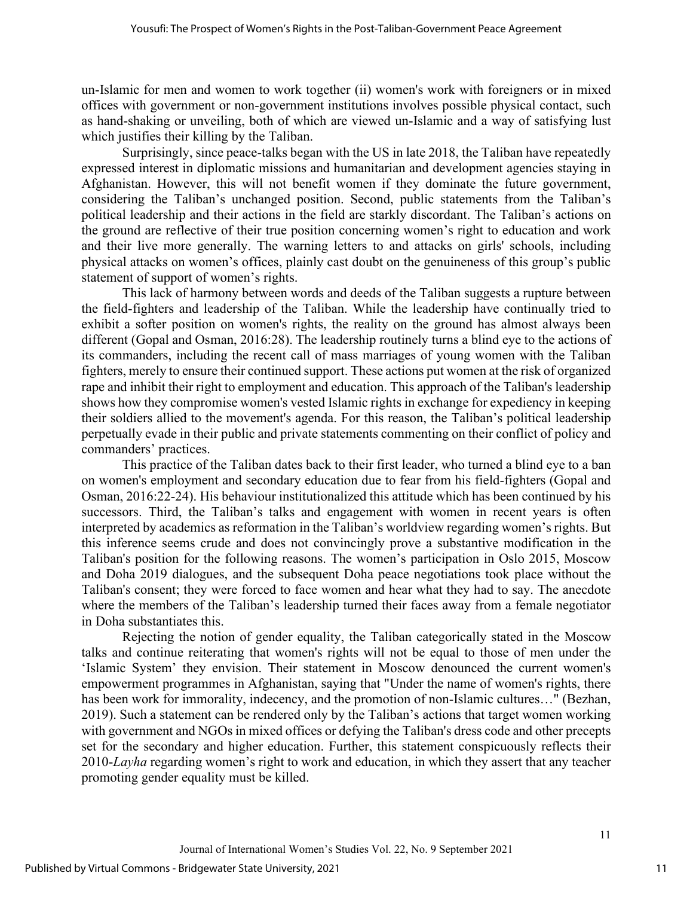un-Islamic for men and women to work together (ii) women's work with foreigners or in mixed offices with government or non-government institutions involves possible physical contact, such as hand-shaking or unveiling, both of which are viewed un-Islamic and a way of satisfying lust which justifies their killing by the Taliban.

Surprisingly, since peace-talks began with the US in late 2018, the Taliban have repeatedly expressed interest in diplomatic missions and humanitarian and development agencies staying in Afghanistan. However, this will not benefit women if they dominate the future government, considering the Taliban's unchanged position. Second, public statements from the Taliban's political leadership and their actions in the field are starkly discordant. The Taliban's actions on the ground are reflective of their true position concerning women's right to education and work and their live more generally. The warning letters to and attacks on girls' schools, including physical attacks on women's offices, plainly cast doubt on the genuineness of this group's public statement of support of women's rights.

This lack of harmony between words and deeds of the Taliban suggests a rupture between the field-fighters and leadership of the Taliban. While the leadership have continually tried to exhibit a softer position on women's rights, the reality on the ground has almost always been different (Gopal and Osman, 2016:28). The leadership routinely turns a blind eye to the actions of its commanders, including the recent call of mass marriages of young women with the Taliban fighters, merely to ensure their continued support. These actions put women at the risk of organized rape and inhibit their right to employment and education. This approach of the Taliban's leadership shows how they compromise women's vested Islamic rights in exchange for expediency in keeping their soldiers allied to the movement's agenda. For this reason, the Taliban's political leadership perpetually evade in their public and private statements commenting on their conflict of policy and commanders' practices.

This practice of the Taliban dates back to their first leader, who turned a blind eye to a ban on women's employment and secondary education due to fear from his field-fighters (Gopal and Osman, 2016:22-24). His behaviour institutionalized this attitude which has been continued by his successors. Third, the Taliban's talks and engagement with women in recent years is often interpreted by academics as reformation in the Taliban's worldview regarding women's rights. But this inference seems crude and does not convincingly prove a substantive modification in the Taliban's position for the following reasons. The women's participation in Oslo 2015, Moscow and Doha 2019 dialogues, and the subsequent Doha peace negotiations took place without the Taliban's consent; they were forced to face women and hear what they had to say. The anecdote where the members of the Taliban's leadership turned their faces away from a female negotiator in Doha substantiates this.

Rejecting the notion of gender equality, the Taliban categorically stated in the Moscow talks and continue reiterating that women's rights will not be equal to those of men under the 'Islamic System' they envision. Their statement in Moscow denounced the current women's empowerment programmes in Afghanistan, saying that "Under the name of women's rights, there has been work for immorality, indecency, and the promotion of non-Islamic cultures..." (Bezhan, 2019). Such a statement can be rendered only by the Taliban's actions that target women working with government and NGOs in mixed offices or defying the Taliban's dress code and other precepts set for the secondary and higher education. Further, this statement conspicuously reflects their 2010-*Layha* regarding women's right to work and education, in which they assert that any teacher promoting gender equality must be killed.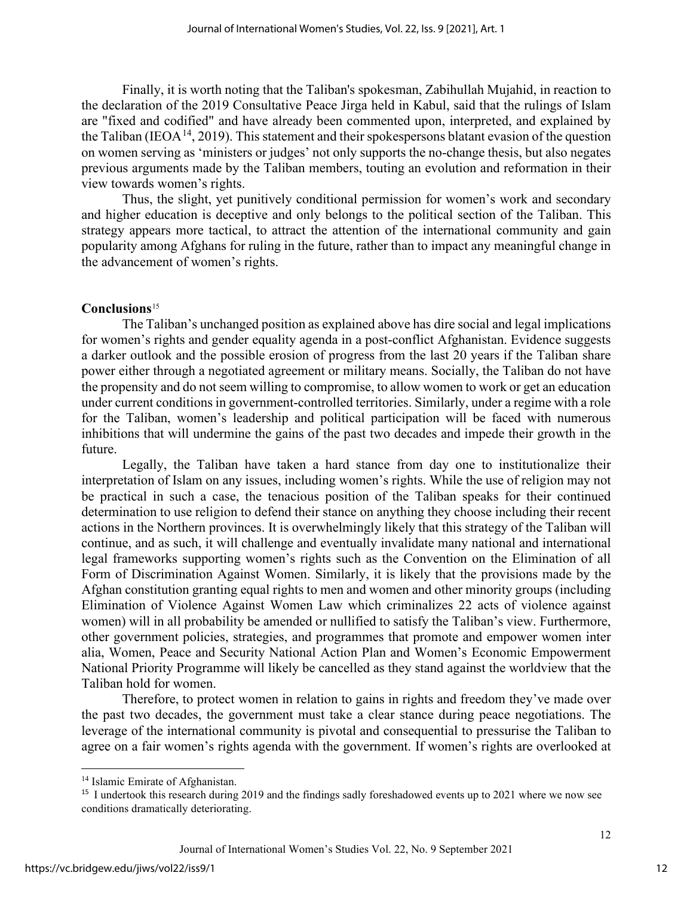Finally, it is worth noting that the Taliban's spokesman, Zabihullah Mujahid, in reaction to the declaration of the 2019 Consultative Peace Jirga held in Kabul, said that the rulings of Islam are "fixed and codified" and have already been commented upon, interpreted, and explained by the Taliban (IEOA<sup>[14](#page-12-0)</sup>, 2019). This statement and their spokespersons blatant evasion of the question on women serving as 'ministers or judges' not only supports the no-change thesis, but also negates previous arguments made by the Taliban members, touting an evolution and reformation in their view towards women's rights.

Thus, the slight, yet punitively conditional permission for women's work and secondary and higher education is deceptive and only belongs to the political section of the Taliban. This strategy appears more tactical, to attract the attention of the international community and gain popularity among Afghans for ruling in the future, rather than to impact any meaningful change in the advancement of women's rights.

#### **Conclusions**[15](#page-12-1)

The Taliban's unchanged position as explained above has dire social and legal implications for women's rights and gender equality agenda in a post-conflict Afghanistan. Evidence suggests a darker outlook and the possible erosion of progress from the last 20 years if the Taliban share power either through a negotiated agreement or military means. Socially, the Taliban do not have the propensity and do not seem willing to compromise, to allow women to work or get an education under current conditions in government-controlled territories. Similarly, under a regime with a role for the Taliban, women's leadership and political participation will be faced with numerous inhibitions that will undermine the gains of the past two decades and impede their growth in the future.

Legally, the Taliban have taken a hard stance from day one to institutionalize their interpretation of Islam on any issues, including women's rights. While the use of religion may not be practical in such a case, the tenacious position of the Taliban speaks for their continued determination to use religion to defend their stance on anything they choose including their recent actions in the Northern provinces. It is overwhelmingly likely that this strategy of the Taliban will continue, and as such, it will challenge and eventually invalidate many national and international legal frameworks supporting women's rights such as the Convention on the Elimination of all Form of Discrimination Against Women. Similarly, it is likely that the provisions made by the Afghan constitution granting equal rights to men and women and other minority groups (including Elimination of Violence Against Women Law which criminalizes 22 acts of violence against women) will in all probability be amended or nullified to satisfy the Taliban's view. Furthermore, other government policies, strategies, and programmes that promote and empower women inter alia, Women, Peace and Security National Action Plan and Women's Economic Empowerment National Priority Programme will likely be cancelled as they stand against the worldview that the Taliban hold for women.

Therefore, to protect women in relation to gains in rights and freedom they've made over the past two decades, the government must take a clear stance during peace negotiations. The leverage of the international community is pivotal and consequential to pressurise the Taliban to agree on a fair women's rights agenda with the government. If women's rights are overlooked at

<span id="page-12-0"></span><sup>&</sup>lt;sup>14</sup> Islamic Emirate of Afghanistan.

<span id="page-12-1"></span><sup>&</sup>lt;sup>15</sup> I undertook this research during 2019 and the findings sadly foreshadowed events up to 2021 where we now see conditions dramatically deteriorating.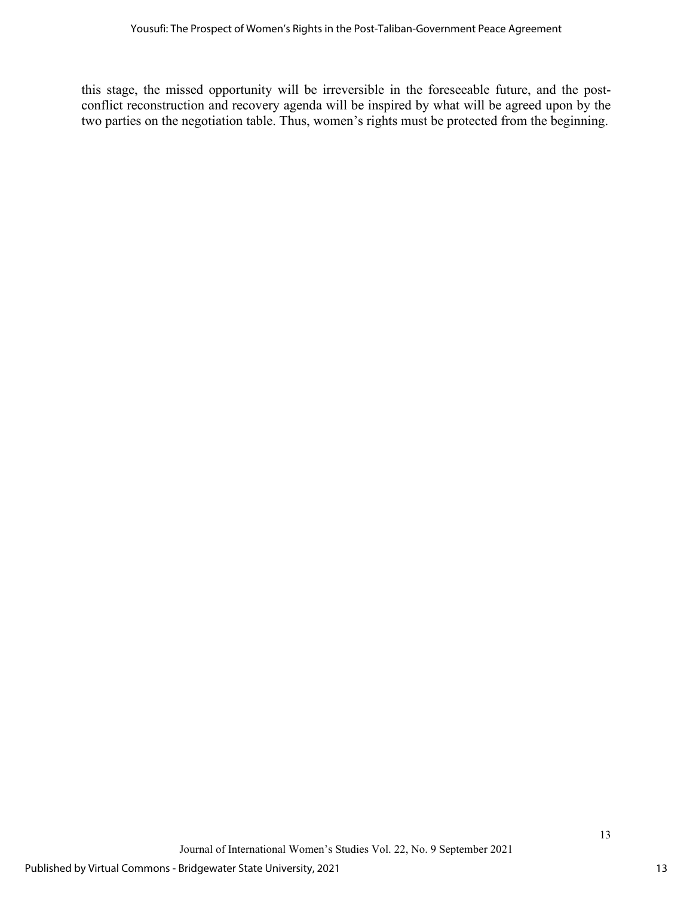this stage, the missed opportunity will be irreversible in the foreseeable future, and the postconflict reconstruction and recovery agenda will be inspired by what will be agreed upon by the two parties on the negotiation table. Thus, women's rights must be protected from the beginning.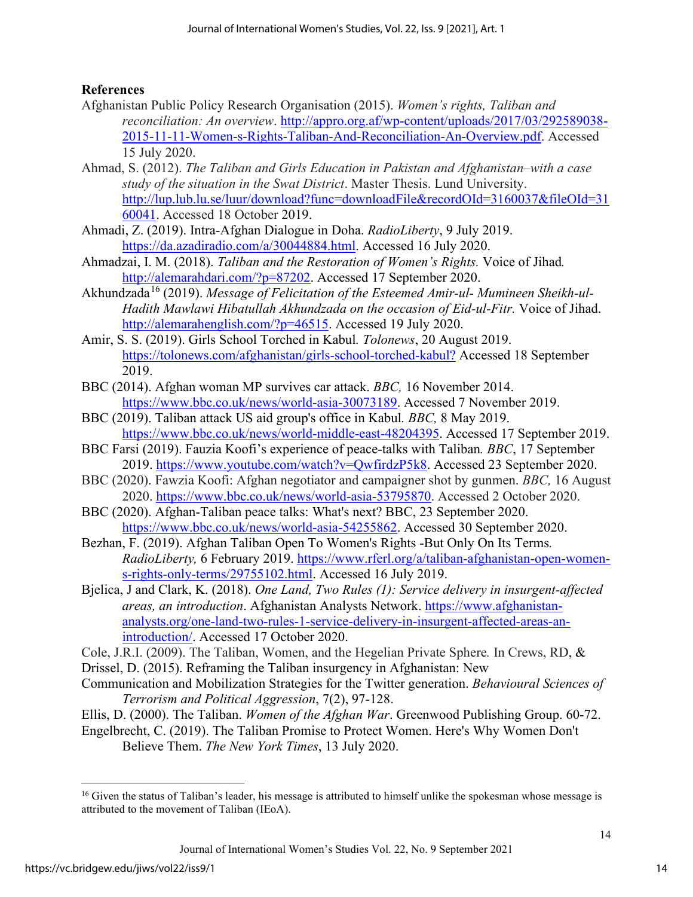## **References**

- Afghanistan Public Policy Research Organisation (2015). *Women's rights, Taliban and reconciliation: An overview*. [http://appro.org.af/wp-content/uploads/2017/03/292589038-](http://appro.org.af/wp-content/uploads/2017/03/292589038-2015-11-11-Women-s-Rights-Taliban-And-Reconciliation-An-Overview.pdf) [2015-11-11-Women-s-Rights-Taliban-And-Reconciliation-An-Overview.pdf.](http://appro.org.af/wp-content/uploads/2017/03/292589038-2015-11-11-Women-s-Rights-Taliban-And-Reconciliation-An-Overview.pdf) Accessed 15 July 2020.
- Ahmad, S. (2012). *The Taliban and Girls Education in Pakistan and Afghanistan–with a case study of the situation in the Swat District*. Master Thesis. Lund University. [http://lup.lub.lu.se/luur/download?func=downloadFile&recordOId=3160037&fileOId=31](http://lup.lub.lu.se/luur/download?func=downloadFile&recordOId=3160037&fileOId=3160041) [60041.](http://lup.lub.lu.se/luur/download?func=downloadFile&recordOId=3160037&fileOId=3160041) Accessed 18 October 2019.
- Ahmadi, Z. (2019). Intra-Afghan Dialogue in Doha. *RadioLiberty*, 9 July 2019. [https://da.azadiradio.com/a/30044884.html.](https://da.azadiradio.com/a/30044884.html) Accessed 16 July 2020.
- Ahmadzai, I. M. (2018). *Taliban and the Restoration of Women's Rights.* Voice of Jihad*.*  [http://alemarahdari.com/?p=87202.](http://alemarahdari.com/?p=87202) Accessed 17 September 2020.
- Akhundzada<sup>[16](#page-14-0)</sup> (2019). *Message of Felicitation of the Esteemed Amir-ul- Mumineen Sheikh-ul-Hadith Mawlawi Hibatullah Akhundzada on the occasion of Eid-ul-Fitr.* Voice of Jihad. http://alemarahenglish.com/?p=46515. Accessed 19 July 2020.
- Amir, S. S. (2019). Girls School Torched in Kabul*. Tolonews*, 20 August 2019. <https://tolonews.com/afghanistan/girls-school-torched-kabul?> Accessed 18 September 2019.
- BBC (2014). Afghan woman MP survives car attack. *BBC,* 16 November 2014. [https://www.bbc.co.uk/news/world-asia-30073189.](https://www.bbc.co.uk/news/world-asia-30073189) Accessed 7 November 2019.
- BBC (2019). Taliban attack US aid group's office in Kabul*. BBC,* 8 May 2019. [https://www.bbc.co.uk/news/world-middle-east-48204395.](https://www.bbc.co.uk/news/world-middle-east-48204395) Accessed 17 September 2019.
- BBC Farsi (2019). Fauzia Koofi's experience of peace-talks with Taliban*. BBC*, 17 September 2019. [https://www.youtube.com/watch?v=QwfirdzP5k8.](https://www.youtube.com/watch?v=QwfirdzP5k8) Accessed 23 September 2020.
- BBC (2020). Fawzia Koofi: Afghan negotiator and campaigner shot by gunmen. *BBC,* 16 August 2020. [https://www.bbc.co.uk/news/world-asia-53795870.](https://www.bbc.co.uk/news/world-asia-53795870) Accessed 2 October 2020.
- BBC (2020). Afghan-Taliban peace talks: What's next? BBC, 23 September 2020. [https://www.bbc.co.uk/news/world-asia-54255862.](https://www.bbc.co.uk/news/world-asia-54255862) Accessed 30 September 2020.
- [Bezhan,](https://www.rferl.org/author/91962.html) F. (2019). Afghan Taliban Open To Women's Rights -But Only On Its Terms*. RadioLiberty,* 6 February 2019. [https://www.rferl.org/a/taliban-afghanistan-open-women](https://www.rferl.org/a/taliban-afghanistan-open-women-s-rights-only-terms/29755102.html)[s-rights-only-terms/29755102.html.](https://www.rferl.org/a/taliban-afghanistan-open-women-s-rights-only-terms/29755102.html) [Accessed 16 July 2019.](https://www.rferl.org/a/taliban-afghanistan-open-women-s-rights-only-terms/29755102.html.%20Accessed%2016%20July%202019)
- Bjelica, J and Clark, K. (2018). *One Land, Two Rules (1): Service delivery in insurgent-affected areas, an introduction*. Afghanistan Analysts Network. [https://www.afghanistan](https://www.afghanistan-analysts.org/one-land-two-rules-1-service-delivery-in-insurgent-affected-areas-an-introduction/)[analysts.org/one-land-two-rules-1-service-delivery-in-insurgent-affected-areas-an](https://www.afghanistan-analysts.org/one-land-two-rules-1-service-delivery-in-insurgent-affected-areas-an-introduction/)[introduction/.](https://www.afghanistan-analysts.org/one-land-two-rules-1-service-delivery-in-insurgent-affected-areas-an-introduction/) Accessed 17 October 2020.
- Cole, J.R.I. (2009). The Taliban, Women, and the Hegelian Private Sphere*.* In Crews, RD, &
- Drissel, D. (2015). Reframing the Taliban insurgency in Afghanistan: New
- Communication and Mobilization Strategies for the Twitter generation. *Behavioural Sciences of Terrorism and Political Aggression*, 7(2), 97-128.
- Ellis, D. (2000). The Taliban. *Women of the Afghan War*. Greenwood Publishing Group. 60-72.

[Engelbrecht,](https://www.nytimes.com/by/cora-engelbrecht) C. (2019). The Taliban Promise to Protect Women. Here's Why Women Don't Believe Them. *The New York Times*, 13 July 2020.

<span id="page-14-0"></span> $16$  Given the status of Taliban's leader, his message is attributed to himself unlike the spokesman whose message is attributed to the movement of Taliban (IEoA).

Journal of International Women's Studies Vol. 22, No. 9 September 2021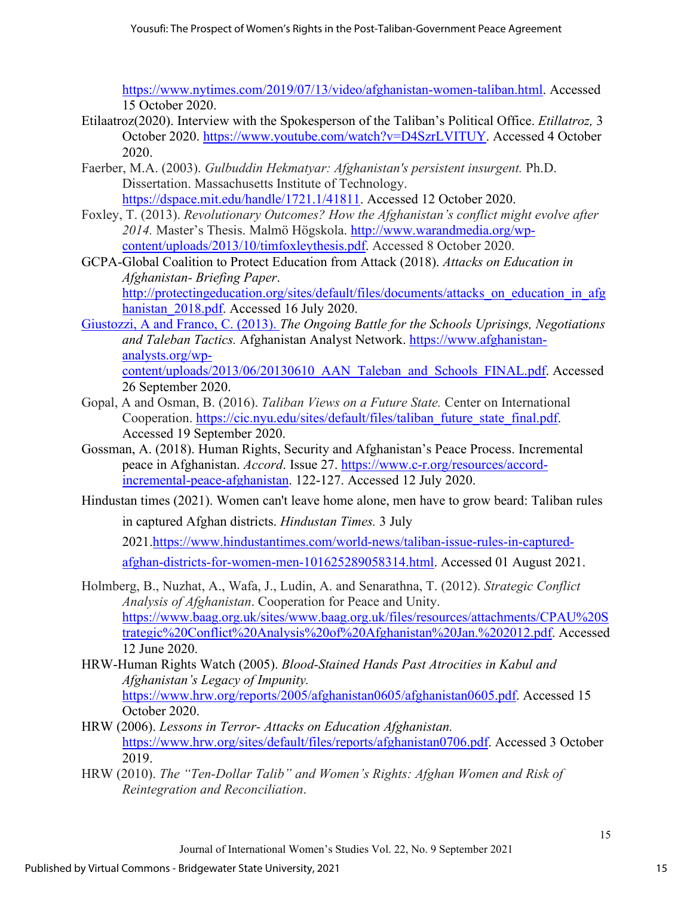[https://www.nytimes.com/2019/07/13/video/afghanistan-women-taliban.html.](https://www.nytimes.com/2019/07/13/video/afghanistan-women-taliban.html) Accessed 15 October 2020.

- Etilaatroz(2020). Interview with the Spokesperson of the Taliban's Political Office. *Etillatroz,* 3 October 2020. [https://www.youtube.com/watch?v=D4SzrLVITUY.](https://www.youtube.com/watch?v=D4SzrLVITUY) Accessed 4 October 2020.
- Faerber, M.A. (2003). *Gulbuddin Hekmatyar: Afghanistan's persistent insurgent.* Ph.D. Dissertation. Massachusetts Institute of Technology. [https://dspace.mit.edu/handle/1721.1/41811.](https://dspace.mit.edu/handle/1721.1/41811) Accessed 12 October 2020.
- Foxley, T. (2013). *Revolutionary Outcomes? How the Afghanistan's conflict might evolve after 2014.* Master's Thesis. Malmö Högskola. [http://www.warandmedia.org/wp](http://www.warandmedia.org/wp-content/uploads/2013/10/timfoxleythesis.pdf)[content/uploads/2013/10/timfoxleythesis.pdf.](http://www.warandmedia.org/wp-content/uploads/2013/10/timfoxleythesis.pdf) Accessed 8 October 2020.
- GCPA-Global Coalition to Protect Education from Attack (2018). *Attacks on Education in Afghanistan- Briefing Paper*.

[http://protectingeducation.org/sites/default/files/documents/attacks\\_on\\_education\\_in\\_afg](http://protectingeducation.org/sites/default/files/documents/attacks_on_education_in_afghanistan_2018.pdf) hanistan 2018.pdf. Accessed 16 July 2020.

- Giustozzi, A and Franco, C. (2013). *The Ongoing Battle for the Schools Uprisings, Negotiations and Taleban Tactics.* Afghanistan Analyst Network. [https://www.afghanistan](https://www.afghanistan-analysts.org/wp-content/uploads/2013/06/20130610_AAN_Taleban_and_Schools_FINAL.pdf)[analysts.org/wp](https://www.afghanistan-analysts.org/wp-content/uploads/2013/06/20130610_AAN_Taleban_and_Schools_FINAL.pdf)[content/uploads/2013/06/20130610\\_AAN\\_Taleban\\_and\\_Schools\\_FINAL.pdf.](https://www.afghanistan-analysts.org/wp-content/uploads/2013/06/20130610_AAN_Taleban_and_Schools_FINAL.pdf) Accessed 26 September 2020.
- Gopal, A and Osman, B. (2016). *Taliban Views on a Future State.* Center on International Cooperation. [https://cic.nyu.edu/sites/default/files/taliban\\_future\\_state\\_final.pdf.](https://cic.nyu.edu/sites/default/files/taliban_future_state_final.pdf) Accessed 19 September 2020.
- Gossman, A. (2018). Human Rights, Security and Afghanistan's Peace Process. Incremental peace in Afghanistan. *Accord*. Issue 27. [https://www.c-r.org/resources/accord](https://www.c-r.org/resources/accord-incremental-peace-afghanistan)[incremental-peace-afghanistan.](https://www.c-r.org/resources/accord-incremental-peace-afghanistan) 122-127. Accessed 12 July 2020.
- Hindustan times (2021). Women can't leave home alone, men have to grow beard: Taliban rules in captured Afghan districts. *Hindustan Times.* 3 July

2021[.https://www.hindustantimes.com/world-news/taliban-issue-rules-in-captured-](https://www.hindustantimes.com/world-news/taliban-issue-rules-in-captured-afghan-districts-for-women-men-101625289058314.html)

[afghan-districts-for-women-men-101625289058314.html.](https://www.hindustantimes.com/world-news/taliban-issue-rules-in-captured-afghan-districts-for-women-men-101625289058314.html) Accessed 01 August 2021.

- Holmberg, B., Nuzhat, A., Wafa, J., Ludin, A. and Senarathna, T. (2012). *Strategic Conflict Analysis of Afghanistan*. Cooperation for Peace and Unity. [https://www.baag.org.uk/sites/www.baag.org.uk/files/resources/attachments/CPAU%20S](https://www.baag.org.uk/sites/www.baag.org.uk/files/resources/attachments/CPAU%20Strategic%20Conflict%20Analysis%20of%20Afghanistan%20Jan.%202012.pdf) [trategic%20Conflict%20Analysis%20of%20Afghanistan%20Jan.%202012.pdf.](https://www.baag.org.uk/sites/www.baag.org.uk/files/resources/attachments/CPAU%20Strategic%20Conflict%20Analysis%20of%20Afghanistan%20Jan.%202012.pdf) Accessed 12 June 2020.
- HRW-Human Rights Watch (2005). *Blood-Stained Hands Past Atrocities in Kabul and Afghanistan's Legacy of Impunity.* [https://www.hrw.org/reports/2005/afghanistan0605/afghanistan0605.pdf.](https://www.hrw.org/reports/2005/afghanistan0605/afghanistan0605.pdf) Accessed 15 October 2020.
- HRW (2006). *Lessons in Terror- Attacks on Education Afghanistan.*  [https://www.hrw.org/sites/default/files/reports/afghanistan0706.pdf.](https://www.hrw.org/sites/default/files/reports/afghanistan0706.pdf) Accessed 3 October 2019.
- HRW (2010). *The "Ten-Dollar Talib" and Women's Rights: Afghan Women and Risk of Reintegration and Reconciliation*.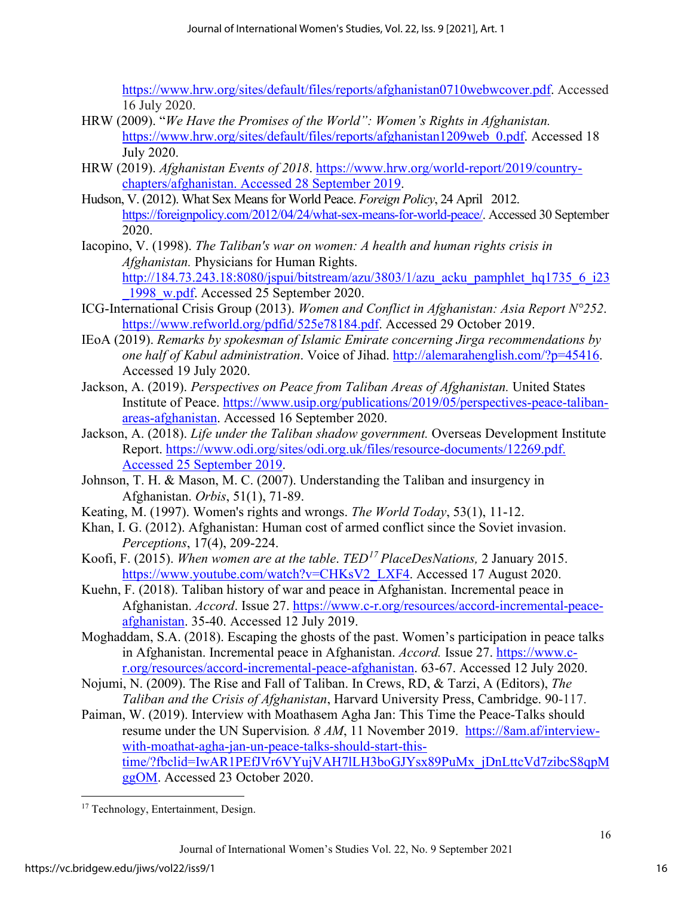[https://www.hrw.org/sites/default/files/reports/afghanistan0710webwcover.pdf.](https://www.hrw.org/sites/default/files/reports/afghanistan0710webwcover.pdf) Accessed 16 July 2020.

- HRW (2009). "*We Have the Promises of the World": Women's Rights in Afghanistan.*  [https://www.hrw.org/sites/default/files/reports/afghanistan1209web\\_0.pdf.](https://www.hrw.org/sites/default/files/reports/afghanistan1209web_0.pdf) Accessed 18 July 2020.
- HRW (2019). *Afghanistan Events of 2018*. [https://www.hrw.org/world-report/2019/country](https://www.hrw.org/world-report/2019/country-chapters/afghanistan.%20Accessed%2028%20September%202019)[chapters/afghanistan. Accessed 28 September 2019.](https://www.hrw.org/world-report/2019/country-chapters/afghanistan.%20Accessed%2028%20September%202019)
- Hudson, V. (2012). What Sex Means for World Peace. *Foreign Policy*, 24 April 2012. [https://foreignpolicy.com/2012/04/24/what-sex-means-for-world-peace/.](https://foreignpolicy.com/2012/04/24/what-sex-means-for-world-peace/) Accessed 30 September 2020.
- Iacopino, V. (1998). *The Taliban's war on women: A health and human rights crisis in Afghanistan.* Physicians for Human Rights.

[http://184.73.243.18:8080/jspui/bitstream/azu/3803/1/azu\\_acku\\_pamphlet\\_hq1735\\_6\\_i23](http://184.73.243.18:8080/jspui/bitstream/azu/3803/1/azu_acku_pamphlet_hq1735_6_i23_1998_w.pdf) [\\_1998\\_w.pdf.](http://184.73.243.18:8080/jspui/bitstream/azu/3803/1/azu_acku_pamphlet_hq1735_6_i23_1998_w.pdf) Accessed 25 September 2020.

- ICG-International Crisis Group (2013). *Women and Conflict in Afghanistan: Asia Report N°252*. [https://www.refworld.org/pdfid/525e78184.pdf.](https://www.refworld.org/pdfid/525e78184.pdf) Accessed 29 October 2019.
- IEoA (2019). *Remarks by spokesman of Islamic Emirate concerning Jirga recommendations by one half of Kabul administration*. Voice of Jihad. [http://alemarahenglish.com/?p=45416.](http://alemarahenglish.com/?p=45416) Accessed 19 July 2020.
- Jackson, A. (2019). *Perspectives on Peace from Taliban Areas of Afghanistan.* United States Institute of Peace. [https://www.usip.org/publications/2019/05/perspectives-peace-taliban](https://www.usip.org/publications/2019/05/perspectives-peace-taliban-areas-afghanistan)[areas-afghanistan.](https://www.usip.org/publications/2019/05/perspectives-peace-taliban-areas-afghanistan) Accessed 16 September 2020.
- Jackson, A. (2018). *Life under the Taliban shadow government.* Overseas Development Institute Report. [https://www.odi.org/sites/odi.org.uk/files/resource-documents/12269.pdf.](https://www.odi.org/sites/odi.org.uk/files/resource-documents/12269.pdf.%20Accessed%2025%20September%202019)  [Accessed 25 September 2019.](https://www.odi.org/sites/odi.org.uk/files/resource-documents/12269.pdf.%20Accessed%2025%20September%202019)
- Johnson, T. H. & Mason, M. C. (2007). Understanding the Taliban and insurgency in Afghanistan. *Orbis*, 51(1), 71-89.
- Keating, M. (1997). Women's rights and wrongs. *The World Today*, 53(1), 11-12.
- Khan, I. G. (2012). Afghanistan: Human cost of armed conflict since the Soviet invasion. *Perceptions*, 17(4), 209-224.
- Koofi, F. (2015). *When women are at the table*. *TED[17](#page-16-0) PlaceDesNations,* 2 January 2015. [https://www.youtube.com/watch?v=CHKsV2\\_LXF4.](https://www.youtube.com/watch?v=CHKsV2_LXF4) Accessed 17 August 2020.
- Kuehn, F. (2018). Taliban history of war and peace in Afghanistan. Incremental peace in Afghanistan. *Accord*. Issue 27. [https://www.c-r.org/resources/accord-incremental-peace](https://www.c-r.org/resources/accord-incremental-peace-afghanistan)[afghanistan.](https://www.c-r.org/resources/accord-incremental-peace-afghanistan) 35-40. Accessed 12 July 2019.
- Moghaddam, S.A. (2018). Escaping the ghosts of the past. Women's participation in peace talks in Afghanistan. Incremental peace in Afghanistan. *Accord.* Issue 27. [https://www.c](https://www.c-r.org/resources/accord-incremental-peace-afghanistan)[r.org/resources/accord-incremental-peace-afghanistan.](https://www.c-r.org/resources/accord-incremental-peace-afghanistan) 63-67. Accessed 12 July 2020.
- Nojumi, N. (2009). The Rise and Fall of Taliban. In Crews, RD, & Tarzi, A (Editors), *The Taliban and the Crisis of Afghanistan*, Harvard University Press, Cambridge. 90-117.
- Paiman, W. (2019). Interview with Moathasem Agha Jan: This Time the Peace-Talks should resume under the UN Supervision*. 8 AM*, 11 November 2019. [https://8am.af/interview](https://8am.af/interview-with-moathat-agha-jan-un-peace-talks-should-start-this-time/?fbclid=IwAR1PEfJVr6VYujVAH7lLH3boGJYsx89PuMx_jDnLttcVd7zibcS8qpMggOM)[with-moathat-agha-jan-un-peace-talks-should-start-this](https://8am.af/interview-with-moathat-agha-jan-un-peace-talks-should-start-this-time/?fbclid=IwAR1PEfJVr6VYujVAH7lLH3boGJYsx89PuMx_jDnLttcVd7zibcS8qpMggOM)[time/?fbclid=IwAR1PEfJVr6VYujVAH7lLH3boGJYsx89PuMx\\_jDnLttcVd7zibcS8qpM](https://8am.af/interview-with-moathat-agha-jan-un-peace-talks-should-start-this-time/?fbclid=IwAR1PEfJVr6VYujVAH7lLH3boGJYsx89PuMx_jDnLttcVd7zibcS8qpMggOM) [ggOM.](https://8am.af/interview-with-moathat-agha-jan-un-peace-talks-should-start-this-time/?fbclid=IwAR1PEfJVr6VYujVAH7lLH3boGJYsx89PuMx_jDnLttcVd7zibcS8qpMggOM) Accessed 23 October 2020.

<span id="page-16-0"></span><sup>&</sup>lt;sup>17</sup> Technology, Entertainment, Design.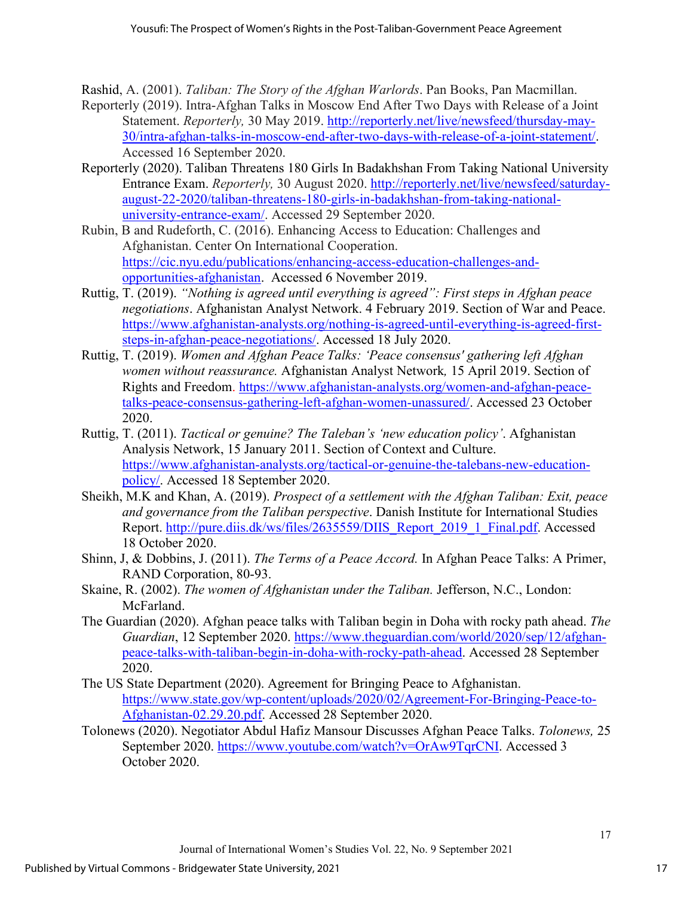Rashid, A. (2001). *Taliban: The Story of the Afghan Warlords*. Pan Books, Pan Macmillan.

- Reporterly (2019). Intra-Afghan Talks in Moscow End After Two Days with Release of a Joint Statement. *Reporterly,* 30 May 2019. [http://reporterly.net/live/newsfeed/thursday-may-](http://reporterly.net/live/newsfeed/thursday-may-30/intra-afghan-talks-in-moscow-end-after-two-days-with-release-of-a-joint-statement/)[30/intra-afghan-talks-in-moscow-end-after-two-days-with-release-of-a-joint-statement/.](http://reporterly.net/live/newsfeed/thursday-may-30/intra-afghan-talks-in-moscow-end-after-two-days-with-release-of-a-joint-statement/) Accessed 16 September 2020.
- Reporterly (2020). Taliban Threatens 180 Girls In Badakhshan From Taking National University Entrance Exam. *Reporterly,* 30 August 2020. [http://reporterly.net/live/newsfeed/saturday](http://reporterly.net/live/newsfeed/saturday-august-22-2020/taliban-threatens-180-girls-in-badakhshan-from-taking-national-university-entrance-exam/)[august-22-2020/taliban-threatens-180-girls-in-badakhshan-from-taking-national](http://reporterly.net/live/newsfeed/saturday-august-22-2020/taliban-threatens-180-girls-in-badakhshan-from-taking-national-university-entrance-exam/)[university-entrance-exam/.](http://reporterly.net/live/newsfeed/saturday-august-22-2020/taliban-threatens-180-girls-in-badakhshan-from-taking-national-university-entrance-exam/) Accessed 29 September 2020.
- Rubin, B and Rudeforth, C. (2016). Enhancing Access to Education: Challenges and Afghanistan. Center On International Cooperation. [https://cic.nyu.edu/publications/enhancing-access-education-challenges-and](https://cic.nyu.edu/publications/enhancing-access-education-challenges-and-opportunities-afghanistan)[opportunities-afghanistan.](https://cic.nyu.edu/publications/enhancing-access-education-challenges-and-opportunities-afghanistan) Accessed 6 November 2019.
- Ruttig, T. (2019). *"Nothing is agreed until everything is agreed": First steps in Afghan peace negotiations*. Afghanistan Analyst Network. 4 February 2019. Section of War and Peace. [https://www.afghanistan-analysts.org/nothing-is-agreed-until-everything-is-agreed-first](https://www.afghanistan-analysts.org/nothing-is-agreed-until-everything-is-agreed-first-steps-in-afghan-peace-negotiations/)[steps-in-afghan-peace-negotiations/.](https://www.afghanistan-analysts.org/nothing-is-agreed-until-everything-is-agreed-first-steps-in-afghan-peace-negotiations/) Accessed 18 July 2020.
- Ruttig, T. (2019). *Women and Afghan Peace Talks: 'Peace consensus' gathering left Afghan women without reassurance.* Afghanistan Analyst Network*,* 15 April 2019. Section of Rights and Freedom. [https://www.afghanistan-analysts.org/women-and-afghan-peace](https://www.afghanistan-analysts.org/women-and-afghan-peace-talks-peace-consensus-gathering-left-afghan-women-unassured/)[talks-peace-consensus-gathering-left-afghan-women-unassured/.](https://www.afghanistan-analysts.org/women-and-afghan-peace-talks-peace-consensus-gathering-left-afghan-women-unassured/) Accessed 23 October 2020.
- Ruttig, T. (2011). *Tactical or genuine? The Taleban's 'new education policy'*. Afghanistan Analysis Network, 15 January 2011. Section of Context and Culture. [https://www.afghanistan-analysts.org/tactical-or-genuine-the-talebans-new-education](https://www.afghanistan-analysts.org/tactical-or-genuine-the-talebans-new-education-policy/)[policy/.](https://www.afghanistan-analysts.org/tactical-or-genuine-the-talebans-new-education-policy/) Accessed 18 September 2020.
- Sheikh, M.K and Khan, A. (2019). *Prospect of a settlement with the Afghan Taliban: Exit, peace and governance from the Taliban perspective*. Danish Institute for International Studies Report. [http://pure.diis.dk/ws/files/2635559/DIIS\\_Report\\_2019\\_1\\_Final.pdf.](http://pure.diis.dk/ws/files/2635559/DIIS_Report_2019_1_Final.pdf) Accessed 18 October 2020.
- Shinn, J, & Dobbins, J. (2011). *The Terms of a Peace Accord.* In Afghan Peace Talks: A Primer, RAND Corporation, 80-93.
- Skaine, R. (2002). *The women of Afghanistan under the Taliban.* Jefferson, N.C., London: McFarland.
- The Guardian (2020). Afghan peace talks with Taliban begin in Doha with rocky path ahead. *The Guardian*, 12 September 2020. [https://www.theguardian.com/world/2020/sep/12/afghan](https://www.theguardian.com/world/2020/sep/12/afghan-peace-talks-with-taliban-begin-in-doha-with-rocky-path-ahead)[peace-talks-with-taliban-begin-in-doha-with-rocky-path-ahead.](https://www.theguardian.com/world/2020/sep/12/afghan-peace-talks-with-taliban-begin-in-doha-with-rocky-path-ahead) Accessed 28 September 2020.
- The US State Department (2020). Agreement for Bringing Peace to Afghanistan. [https://www.state.gov/wp-content/uploads/2020/02/Agreement-For-Bringing-Peace-to-](https://www.state.gov/wp-content/uploads/2020/02/Agreement-For-Bringing-Peace-to-Afghanistan-02.29.20.pdf)[Afghanistan-02.29.20.pdf.](https://www.state.gov/wp-content/uploads/2020/02/Agreement-For-Bringing-Peace-to-Afghanistan-02.29.20.pdf) Accessed 28 September 2020.
- Tolonews (2020). Negotiator Abdul Hafiz Mansour Discusses Afghan Peace Talks. *Tolonews,* 25 September 2020. [https://www.youtube.com/watch?v=OrAw9TqrCNI.](https://www.youtube.com/watch?v=OrAw9TqrCNI) Accessed 3 October 2020.